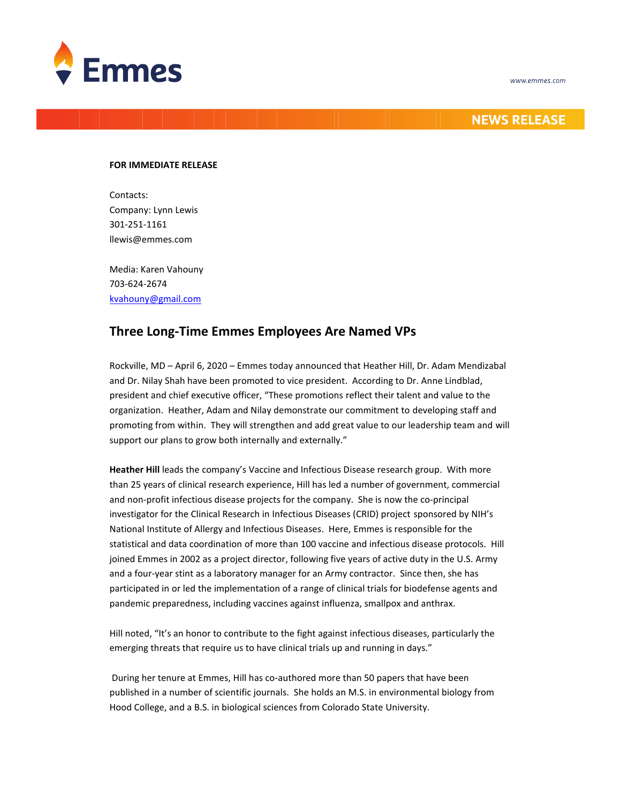

## **NEWS RELEASE**

## **FOR IMMEDIATE RELEASE**

Contacts: Company: Lynn Lewis 301-251-1161 llewis@emmes.com

Media: Karen Vahouny 703-624-2674 [kvahouny@gmail.com](mailto:kvahouny@gmail.com)

## **Three Long-Time Emmes Employees Are Named VPs**

Rockville, MD – April 6, 2020 – Emmes today announced that Heather Hill, Dr. Adam Mendizabal and Dr. Nilay Shah have been promoted to vice president. According to Dr. Anne Lindblad, president and chief executive officer, "These promotions reflect their talent and value to the organization. Heather, Adam and Nilay demonstrate our commitment to developing staff and promoting from within. They will strengthen and add great value to our leadership team and will support our plans to grow both internally and externally."

**Heather Hill** leads the company's Vaccine and Infectious Disease research group. With more than 25 years of clinical research experience, Hill has led a number of government, commercial and non-profit infectious disease projects for the company. She is now the co-principal investigator for the Clinical Research in Infectious Diseases (CRID) project sponsored by NIH's National Institute of Allergy and Infectious Diseases. Here, Emmes is responsible for the statistical and data coordination of more than 100 vaccine and infectious disease protocols. Hill joined Emmes in 2002 as a project director, following five years of active duty in the U.S. Army and a four-year stint as a laboratory manager for an Army contractor. Since then, she has participated in or led the implementation of a range of clinical trials for biodefense agents and pandemic preparedness, including vaccines against influenza, smallpox and anthrax.

Hill noted, "It's an honor to contribute to the fight against infectious diseases, particularly the emerging threats that require us to have clinical trials up and running in days."

During her tenure at Emmes, Hill has co-authored more than 50 papers that have been published in a number of scientific journals. She holds an M.S. in environmental biology from Hood College, and a B.S. in biological sciences from Colorado State University.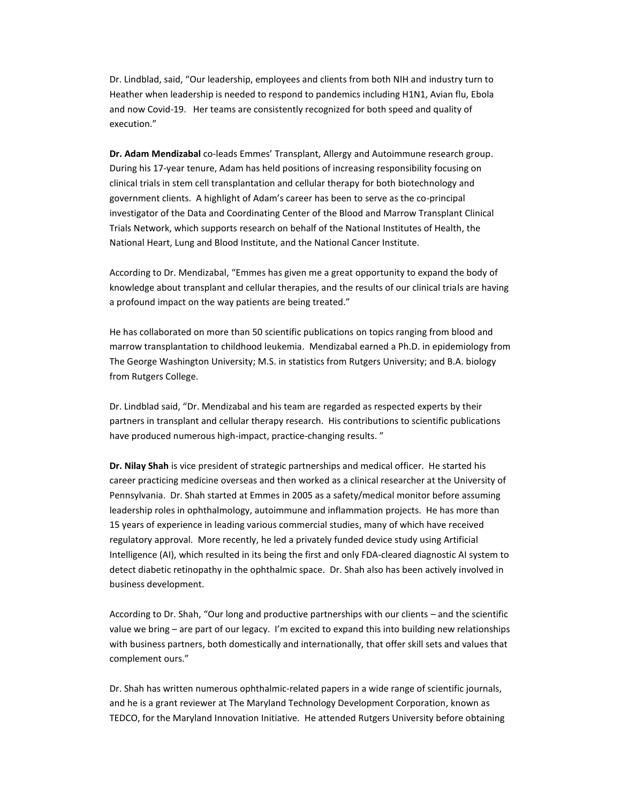Dr. Lindblad, said, "Our leadership, employees and clients from both NIH and industry turn to Heather when leadership is needed to respond to pandemics including H1N1, Avian flu, Ebola and now Covid-19. Her teams are consistently recognized for both speed and quality of execution."

**Dr. Adam Mendizabal** co-leads Emmes' Transplant, Allergy and Autoimmune research group. During his 17-year tenure, Adam has held positions of increasing responsibility focusing on clinical trials in stem cell transplantation and cellular therapy for both biotechnology and government clients. A highlight of Adam's career has been to serve as the co-principal investigator of the Data and Coordinating Center of the Blood and Marrow Transplant Clinical Trials Network, which supports research on behalf of the National Institutes of Health, the National Heart, Lung and Blood Institute, and the National Cancer Institute.

According to Dr. Mendizabal, "Emmes has given me a great opportunity to expand the body of knowledge about transplant and cellular therapies, and the results of our clinical trials are having a profound impact on the way patients are being treated."

He has collaborated on more than 50 scientific publications on topics ranging from blood and marrow transplantation to childhood leukemia. Mendizabal earned a Ph.D. in epidemiology from The George Washington University; M.S. in statistics from Rutgers University; and B.A. biology from Rutgers College.

Dr. Lindblad said, "Dr. Mendizabal and his team are regarded as respected experts by their partners in transplant and cellular therapy research. His contributions to scientific publications have produced numerous high-impact, practice-changing results. "

**Dr. Nilay Shah** is vice president of strategic partnerships and medical officer. He started his career practicing medicine overseas and then worked as a clinical researcher at the University of Pennsylvania. Dr. Shah started at Emmes in 2005 as a safety/medical monitor before assuming leadership roles in ophthalmology, autoimmune and inflammation projects. He has more than 15 years of experience in leading various commercial studies, many of which have received regulatory approval. More recently, he led a privately funded device study using Artificial Intelligence (AI), which resulted in its being the first and only FDA-cleared diagnostic AI system to detect diabetic retinopathy in the ophthalmic space. Dr. Shah also has been actively involved in business development.

According to Dr. Shah, "Our long and productive partnerships with our clients – and the scientific value we bring – are part of our legacy. I'm excited to expand this into building new relationships with business partners, both domestically and internationally, that offer skill sets and values that complement ours."

Dr. Shah has written numerous ophthalmic-related papers in a wide range of scientific journals, and he is a grant reviewer at The Maryland Technology Development Corporation, known as TEDCO, for the Maryland Innovation Initiative. He attended Rutgers University before obtaining